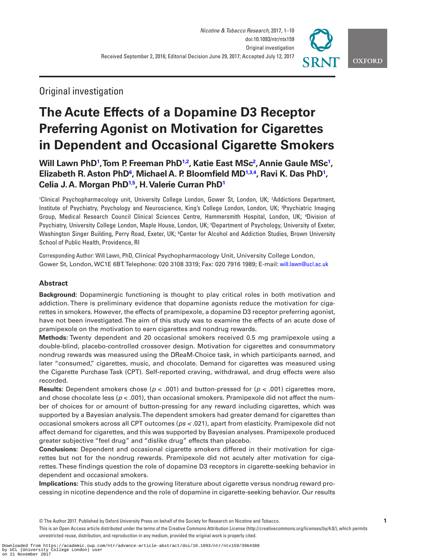

## Original investigation

# **The Acute Effects of a Dopamine D3 Receptor Preferring Agonist on Motivation for Cigarettes in Dependent and Occasional Cigarette Smokers**

**Will Lawn Ph[D1](#page-0-0) , Tom P. Freeman PhD[1,2](#page-0-0), Katie East MSc[2](#page-0-1) , Annie Gaule MS[c1](#page-0-0) , Elizabeth R. Aston PhD[6](#page-0-2) , Michael A. P. Bloomfield M[D1](#page-0-0),[3,4](#page-0-0) , Ravi K. Das Ph[D1](#page-0-0) , Celia J. A. Morgan PhD[1](#page-0-0)[,5](#page-0-3) , H. Valerie Curran Ph[D1](#page-0-0)**

<span id="page-0-3"></span><span id="page-0-1"></span><span id="page-0-0"></span>1 Clinical Psychopharmacology unit, University College London, Gower St, London, UK; 2 Addictions Department, Institute of Psychiatry, Psychology and Neuroscience, King's College London, London, UK; 3 Psychiatric Imaging Group, Medical Research Council Clinical Sciences Centre, Hammersmith Hospital, London, UK; 4 Division of Psychiatry, University College London, Maple House, London, UK; <sup>5</sup>Department of Psychology, University of Exeter, Washington Singer Building, Perry Road, Exeter, UK; <sup>6</sup>Center for Alcohol and Addiction Studies, Brown University School of Public Health, Providence, RI

<span id="page-0-2"></span>Corresponding Author: Will Lawn, PhD, Clinical Psychopharmacology Unit, University College London, Gower St, London, WC1E 6BT. Telephone: 020 3108 3319; Fax: 020 7916 1989; E-mail: [will.lawn@ucl.ac.uk](mailto:will.lawn@ucl.ac.uk?subject=)

## **Abstract**

**Background:** Dopaminergic functioning is thought to play critical roles in both motivation and addiction. There is preliminary evidence that dopamine agonists reduce the motivation for cigarettes in smokers. However, the effects of pramipexole, a dopamine D3 receptor preferring agonist, have not been investigated. The aim of this study was to examine the effects of an acute dose of pramipexole on the motivation to earn cigarettes and nondrug rewards.

**Methods:** Twenty dependent and 20 occasional smokers received 0.5 mg pramipexole using a double-blind, placebo-controlled crossover design. Motivation for cigarettes and consummatory nondrug rewards was measured using the DReaM-Choice task, in which participants earned, and later "consumed," cigarettes, music, and chocolate. Demand for cigarettes was measured using the Cigarette Purchase Task (CPT). Self-reported craving, withdrawal, and drug effects were also recorded.

**Results:** Dependent smokers chose (*p* < .001) and button-pressed for (*p* < .001) cigarettes more, and chose chocolate less ( $p < .001$ ), than occasional smokers. Pramipexole did not affect the number of choices for or amount of button-pressing for any reward including cigarettes, which was supported by a Bayesian analysis. The dependent smokers had greater demand for cigarettes than occasional smokers across all CPT outcomes (*ps <* .021), apart from elasticity. Pramipexole did not affect demand for cigarettes, and this was supported by Bayesian analyses. Pramipexole produced greater subjective "feel drug" and "dislike drug" effects than placebo.

**Conclusions:** Dependent and occasional cigarette smokers differed in their motivation for cigarettes but not for the nondrug rewards. Pramipexole did not acutely alter motivation for cigarettes. These findings question the role of dopamine D3 receptors in cigarette-seeking behavior in dependent and occasional smokers.

**Implications:** This study adds to the growing literature about cigarette versus nondrug reward processing in nicotine dependence and the role of dopamine in cigarette-seeking behavior. Our results

This is an Open Access article distributed under the terms of the Creative Commons Attribution License (http://creativecommons.org/licenses/by/4.0/), which permits unrestricted reuse, distribution, and reproduction in any medium, provided the original work is properly cited.

<sup>©</sup> The Author 2017. Published by Oxford University Press on behalf of the Society for Research on Nicotine and Tobacco. **1**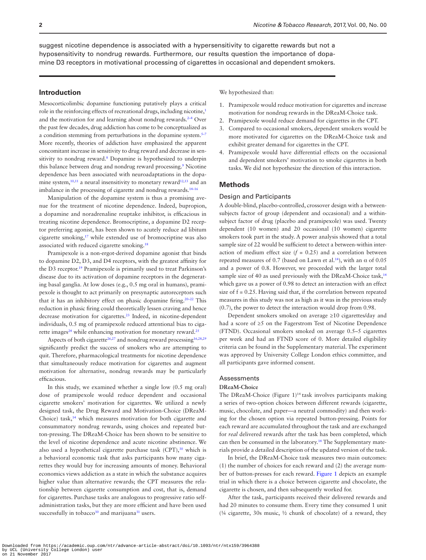suggest nicotine dependence is associated with a hypersensitivity to cigarette rewards but not a hyposensitivity to nondrug rewards. Furthermore, our results question the importance of dopamine D3 receptors in motivational processing of cigarettes in occasional and dependent smokers.

## **Introduction**

Mesocorticolimbic dopamine functioning putatively plays a critical role in the reinforcing effects of recreational drugs, including nicotine,<sup>1</sup> and the motivation for and learning about nondrug rewards. $2-4$  Over the past few decades, drug addiction has come to be conceptualized as a condition stemming from perturbations in the dopamine system.<sup>5-7</sup> More recently, theories of addiction have emphasized the apparent concomitant increase in sensitivity to drug reward and decrease in sensitivity to nondrug reward.<sup>8</sup> Dopamine is hypothesized to underpin this balance between drug and nondrug reward processing.<sup>[9](#page-8-4)</sup> Nicotine dependence has been associated with neuroadaptations in the dopa-mine system,<sup>10,11</sup> a neural insensitivity to monetary reward<sup>[12,](#page-8-7)[13](#page-8-8)</sup> and an imbalance in the processing of cigarette and nondrug rewards[.14–16](#page-8-9)

Manipulation of the dopamine system is thus a promising avenue for the treatment of nicotine dependence. Indeed, bupropion, a dopamine and noradrenaline reuptake inhibitor, is efficacious in treating nicotine dependence. Bromocriptine, a dopamine D2 receptor preferring agonist, has been shown to acutely reduce ad libitum cigarette smoking[,17](#page-8-10) while extended use of bromocriptine was also associated with reduced cigarette smoking.<sup>18</sup>

Pramipexole is a non-ergot-derived dopamine agonist that binds to dopamine D2, D3, and D4 receptors, with the greatest affinity for the D3 receptor.[19](#page-8-12) Pramipexole is primarily used to treat Parkinson's disease due to its activation of dopamine receptors in the degenerating basal ganglia. At low doses (e.g., 0.5 mg oral in humans), pramipexole is thought to act primarily on presynaptic autoreceptors such that it has an inhibitory effect on phasic dopamine firing[.20–22](#page-8-13) This reduction in phasic firing could theoretically lessen craving and hence decrease motivation for cigarettes.<sup>23</sup> Indeed, in nicotine-dependent individuals, 0.5 mg of pramipexole reduced attentional bias to cigarette images $24$  while enhancing motivation for monetary reward.<sup>25</sup>

Aspects of both cigarette<sup>26,27</sup> and nondrug reward processing<sup>[16,](#page-8-19)[28](#page-8-20)[,29](#page-9-0)</sup> significantly predict the success of smokers who are attempting to quit. Therefore, pharmacological treatments for nicotine dependence that simultaneously reduce motivation for cigarettes and augment motivation for alternative, nondrug rewards may be particularly efficacious.

In this study, we examined whether a single low (0.5 mg oral) dose of pramipexole would reduce dependent and occasional cigarette smokers' motivation for cigarettes. We utilized a newly designed task, the Drug Reward and Motivation-Choice (DReaM-Choice) task,<sup>14</sup> which measures motivation for both cigarette and consummatory nondrug rewards, using choices and repeated button-pressing. The DReaM-Choice has been shown to be sensitive to the level of nicotine dependence and acute nicotine abstinence. We also used a hypothetical cigarette purchase task  $(CPT)$ ,<sup>30</sup> which is a behavioral economic task that asks participants how many cigarettes they would buy for increasing amounts of money. Behavioral economics views addiction as a state in which the substance acquires higher value than alternative rewards; the CPT measures the relationship between cigarette consumption and cost, that is, demand for cigarettes. Purchase tasks are analogous to progressive ratio selfadministration tasks, but they are more efficient and have been used successfully in tobacco<sup>[30](#page-9-1)</sup> and marijuana<sup>31</sup> users.

We hypothesized that:

- 1. Pramipexole would reduce motivation for cigarettes and increase motivation for nondrug rewards in the DReaM-Choice task.
- 2. Pramipexole would reduce demand for cigarettes in the CPT.
- 3. Compared to occasional smokers, dependent smokers would be more motivated for cigarettes on the DReaM-Choice task and exhibit greater demand for cigarettes in the CPT.
- 4. Pramipexole would have differential effects on the occasional and dependent smokers' motivation to smoke cigarettes in both tasks. We did not hypothesize the direction of this interaction.

## **Methods**

#### Design and Participants

A double-blind, placebo-controlled, crossover design with a betweensubjects factor of group (dependent and occasional) and a withinsubject factor of drug (placebo and pramipexole) was used. Twenty dependent (10 women) and 20 occasional (10 women) cigarette smokers took part in the study. A power analysis showed that a total sample size of 22 would be sufficient to detect a between-within interaction of medium effect size  $(f = 0.25)$  and a correlation between repeated measures of 0.7 (based on Lawn et al.<sup>14</sup>), with an α of 0.05 and a power of 0.8. However, we proceeded with the larger total sample size of 40 as used previously with the DReaM-Choice task,<sup>14</sup> which gave us a power of 0.98 to detect an interaction with an effect size of f = 0.25. Having said that, if the correlation between repeated measures in this study was not as high as it was in the previous study (0.7), the power to detect the interaction would drop from 0.98.

Dependent smokers smoked on average ≥10 cigarettes/day and had a score of ≥5 on the Fagerstrom Test of Nicotine Dependence (FTND). Occasional smokers smoked on average 0.5–5 cigarettes per week and had an FTND score of 0. More detailed eligibility criteria can be found in the Supplementary material. The experiment was approved by University College London ethics committee, and all participants gave informed consent.

#### Assessments

#### **DReaM-Choice**

The DReaM-Choice (Figure 1)<sup>14</sup> task involves participants making a series of two-option choices between different rewards (cigarette, music, chocolate, and paper—a neutral commodity) and then working for the chosen option via repeated button-pressing. Points for each reward are accumulated throughout the task and are exchanged for *real* delivered rewards after the task has been completed, which can then be consumed in the laboratory.[14](#page-8-9) The Supplementary materials provide a detailed description of the updated version of the task.

In brief, the DReaM-Choice task measures two main outcomes: (1) the number of choices for each reward and (2) the average number of button-presses for each reward. [Figure 1](#page-2-0) depicts an example trial in which there is a choice between cigarette and chocolate, the cigarette is chosen, and then subsequently worked for.

After the task, participants received their delivered rewards and had 20 minutes to consume them. Every time they consumed 1 unit (¼ cigarette, 30s music, ½ chunk of chocolate) of a reward, they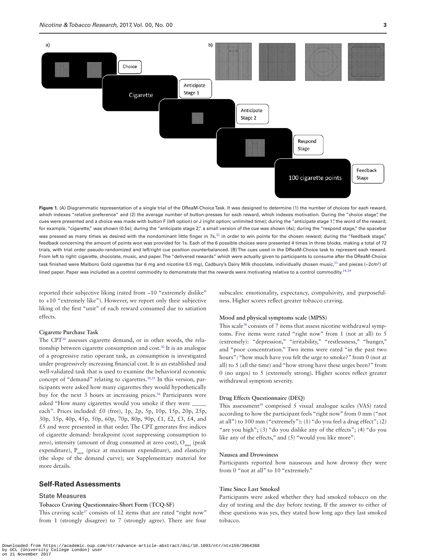

<span id="page-2-0"></span>**Figure 1.** (A) Diagrammatic representation of a single trial of the DReaM-Choice Task. It was designed to determine (1) the number of choices for each reward, which indexes "relative preference" and (2) the average number of button-presses for each reward, which indexes motivation. During the "choice stage", the cues were presented and a choice was made with button F (left option) or J (right option; unlimited time); during the "anticipate stage 1", the word of the reward, for example, "cigarette," was shown (0.5s); during the "anticipate stage 2," a small version of the cue was shown (4s); during the "respond stage," the spacebar was pressed as many times as desired with the nondominant little finger in 7s, $32$  in order to win points for the chosen reward; during the "feedback stage," feedback concerning the amount of points won was provided for 1s. Each of the 6 possible choices were presented 4 times in three blocks, making a total of 72 trials, with trial order pseudo-randomized and left/right cue position counterbalanced. (B) The cues used in the DReaM-Choice task to represent each reward. From left to right: cigarette, chocolate, music, and paper. The "delivered rewards" which were actually given to participants to consume after the DReaM-Choice task finished were Malboro Gold cigarettes (tar 6 mg and nicotine 0.5 mg), Cadbury's Dairy Milk chocolate, individually chosen music, $^{33}$  $^{33}$  $^{33}$  and pieces (~2cm²) of lined paper. Paper was included as a control commodity to demonstrate that the rewards were motivating relative to a control commodity.<sup>[14](#page-8-9),[34](#page-9-10)</sup>

reported their subjective liking (rated from −10 "extremely dislike" to +10 "extremely like"). However, we report only their subjective liking of the first "unit" of each reward consumed due to satiation effects.

#### **Cigarette Purchase Task**

The CPT[30](#page-9-1) assesses cigarette demand, or in other words, the relationship between cigarette consumption and cost.[30](#page-9-1) It is an analogue of a progressive ratio operant task, as consumption is investigated under progressively increasing financial cost. It is an established and well-validated task that is used to examine the behavioral economic concept of "demand" relating to cigarettes.<sup>[30,](#page-9-1)[35](#page-9-3)</sup> In this version, participants were asked how many cigarettes they would hypothetically buy for the next 3 hours at increasing prices.<sup>36</sup> Participants were asked "How many cigarettes would you smoke if they were each". Prices included: £0 (free), 1p, 2p, 5p, 10p, 15p, 20p, 25p, 30p, 35p, 40p, 45p, 50p, 60p, 70p, 80p, 90p, £1, £2, £3, £4, and £5 and were presented in that order. The CPT generates five indices of cigarette demand: breakpoint (cost suppressing consumption to zero), intensity (amount of drug consumed at zero cost),  $O_{\text{max}}$  (peak expenditure),  $P_{max}$  (price at maximum expenditure), and elasticity (the slope of the demand curve); see Supplementary material for more details.

## **Self-Rated Assessments**

#### State Measures

## **Tobacco Craving Questionnaire-Short Form (TCQ-SF)**

This craving scale<sup>[37](#page-9-5)</sup> consists of 12 items that are rated "right now" from 1 (strongly disagree) to 7 (strongly agree). There are four subscales: emotionality, expectancy, compulsivity, and purposefulness. Higher scores reflect greater tobacco craving.

#### **Mood and physical symptoms scale (MPSS)**

This scale<sup>38</sup> consists of 7 items that assess nicotine withdrawal symptoms. Five items were rated "right now" from 1 (not at all) to 5 (extremely): "depression," "irritability," "restlessness," "hunger," and "poor concentration." Two items were rated "in the past two hours": "how much have you felt the urge to smoke?" from 0 (not at all) to 5 (all the time) and "how strong have these urges been?" from 0 (no urges) to 5 (extremely strong). Higher scores reflect greater withdrawal symptom severity.

## **Drug Effects Questionnaire (DEQ)**

This assessment<sup>39</sup> comprised 5 visual analogue scales (VAS) rated according to how the participant feels "right now" from 0 mm ("not at all") to 100 mm ("extremely"): (1) "do you feel a drug effect"; (2) "are you high"; (3) "do you dislike any of the effects"; (4) "do you like any of the effects," and (5) "would you like more".

## **Nausea and Drowsiness**

Participants reported how nauseous and how drowsy they were from 0 "not at all" to 10 "extremely."

## **Time Since Last Smoked**

Participants were asked whether they had smoked tobacco on the day of testing and the day before testing. If the answer to either of these questions was yes, they stated how long ago they last smoked tobacco.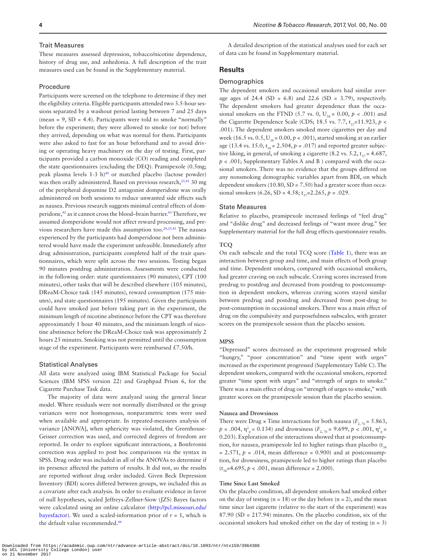#### Trait Measures

These measures assessed depression, tobacco/nicotine dependence, history of drug use, and anhedonia. A full description of the trait measures used can be found in the Supplementary material.

#### Procedure

Participants were screened on the telephone to determine if they met the eligibility criteria. Eligible participants attended two 3.5-hour sessions separated by a washout period lasting between 7 and 25 days (mean =  $9$ , SD = 4.4). Participants were told to smoke "normally" before the experiment; they were allowed to smoke (or not) before they arrived, depending on what was normal for them. Participants were also asked to fast for an hour beforehand and to avoid driving or operating heavy machinery on the day of testing. First, participants provided a carbon monoxide (CO) reading and completed the state questionnaires (excluding the DEQ). Pramipexole (0.5mg; peak plasma levels  $1-3$  h)<sup>40</sup> or matched placebo (lactose powder) was then orally administered. Based on previous research,<sup>25,41</sup> 30 mg of the peripheral dopamine D2 antagonist domperidone was orally administered on both sessions to reduce unwanted side effects such as nausea. Previous research suggests minimal central effects of dom-peridone,<sup>42</sup> as it cannot cross the blood–brain barrier.<sup>[43](#page-9-14)</sup> Therefore, we assumed domperidone would not affect reward processing, and pre-vious researchers have made this assumption too.<sup>24,[25](#page-8-16)[,41](#page-9-12)</sup> The nausea experienced by the participants had domperidone not been administered would have made the experiment unfeasible. Immediately after drug administration, participants completed half of the trait questionnaires, which were split across the two sessions. Testing began 90 minutes postdrug administration. Assessments were conducted in the following order: state questionnaires (90 minutes), CPT (100 minutes), other tasks that will be described elsewhere (105 minutes), DReaM-Choice task (145 minutes), reward consumption (175 minutes), and state questionnaires (195 minutes). Given the participants could have smoked just before taking part in the experiment, the minimum length of nicotine abstinence before the CPT was therefore approximately 1 hour 40 minutes, and the minimum length of nicotine abstinence before the DReaM-Choice task was approximately 2 hours 25 minutes. Smoking was not permitted until the consumption stage of the experiment. Participants were reimbursed £7.50/h.

#### Statistical Analyses

All data were analyzed using IBM Statistical Package for Social Sciences (IBM SPSS version 22) and Graphpad Prism 6, for the Cigarette Purchase Task data.

The majority of data were analyzed using the general linear model. Where residuals were not normally distributed or the group variances were not homogenous, nonparametric tests were used when available and appropriate. In repeated-measures analysis of variance [ANOVA], when sphericity was violated, the Greenhouse-Geisser correction was used, and corrected degrees of freedom are reported. In order to explore significant interactions, a Bonferonni correction was applied to post hoc comparisons via the syntax in SPSS. Drug order was included in all of the ANOVAs to determine if its presence affected the pattern of results. It did not, so the results are reported without drug order included. Given Beck Depression Inventory (BDI) scores differed between groups, we included this as a covariate after each analysis. In order to evaluate evidence in favor of null hypotheses, scaled Jeffreys-Zellner-Siow (JZS) Bayes factors were calculated using an online calculator [\(http://pcl.missouri.edu/](http://pcl.missouri.edu/bayesfactor) [bayesfactor](http://pcl.missouri.edu/bayesfactor)). We used a scaled-information prior of  $r = 1$ , which is the default value recommended.<sup>[44](#page-9-15)</sup>

A detailed description of the statistical analyses used for each set of data can be found in Supplementary material.

## **Results**

## **Demographics**

The dependent smokers and occasional smokers had similar average ages of 24.4 (SD =  $6.8$ ) and 22.6 (SD = 3.79), respectively. The dependent smokers had greater dependence than the occasional smokers on the FTND (5.7 vs. 0,  $U_{38} = 0.00$ ,  $p < .001$ ) and the Cigarette Dependence Scale (CDS; 18.5 vs. 7.7,  $t_{37}=11.923$ ,  $p <$ .001). The dependent smokers smoked more cigarettes per day and week (16.5 vs.  $0.5$ ,  $U_{38} = 0.00$ ,  $p < .001$ ), started smoking at an earlier age (13.4 vs. 15.0,  $t_{38} = 2.504$ ,  $p = .017$ ) and reported greater subjective liking, in general, of smoking a cigarette (8.2 vs. 5.2,  $t_{37}$  = 4.687, *p* < .001; Supplementary Tables A and B ) compared with the occasional smokers. There was no evidence that the groups differed on any nonsmoking demographic variables apart from BDI, on which dependent smokers  $(10.80, SD = 7.50)$  had a greater score than occasional smokers (6.26, SD = 4.58;  $t_{37}$ =2.265,  $p = .029$ .

#### State Measures

Relative to placebo, pramipexole increased feelings of "feel drug" and "dislike drug" and decreased feelings of "want more drug." See Supplementary material for the full drug effects questionnaire results.

#### **TCQ**

On each subscale and the total TCQ score [\(Table 1](#page-4-0)), there was an interaction between group and time, and main effects of both group and time. Dependent smokers, compared with occasional smokers, had greater craving on each subscale. Craving scores increased from predrug to postdrug and decreased from postdrug to postconsumption in dependent smokers, whereas craving scores stayed similar between predrug and postdrug and decreased from post-drug to post-consumption in occasional smokers. There was a main effect of drug on the compulsivity and purposefulness subscales, with greater scores on the pramipexole session than the placebo session.

#### **MPSS**

"Depressed" scores decreased as the experiment progressed while "hungry," "poor concentration" and "time spent with urges" increased as the experiment progressed (Supplementary Table C). The dependent smokers, compared with the occasional smokers, reported greater "time spent with urges" and "strength of urges to smoke." There was a main effect of drug on "strength of urges to smoke," with greater scores on the pramipexole session than the placebo session.

#### **Nausea and Drowsiness**

There were Drug  $\times$  Time interactions for both nausea ( $F_{2, 76} = 5.863$ ,  $p = .004$ ,  $\eta_{\text{p}}^2 = 0.134$ ) and drowsiness ( $F_{2, 76} = 9.699$ ,  $p < .001$ ,  $\eta_{\text{p}}^2 =$ 0.203). Exploration of the interactions showed that at postconsumption, for nausea, pramipexole led to higher ratings than placebo  $(t_{38})$  $= 2.571, p = .014$ , mean difference  $= 0.900$ ) and at postconsumption, for drowsiness, pramipexole led to higher ratings than placebo  $(t_{38}=4.695, p < .001, \text{ mean difference} = 2.000).$ 

#### **Time Since Last Smoked**

On the placebo condition, all dependent smokers had smoked either on the day of testing  $(n = 18)$  or the day before  $(n = 2)$ , and the mean time since last cigarette (relative to the start of the experiment) was 87.90 (SD = 217.94) minutes. On the placebo condition, six of the occasional smokers had smoked either on the day of testing (n = 3)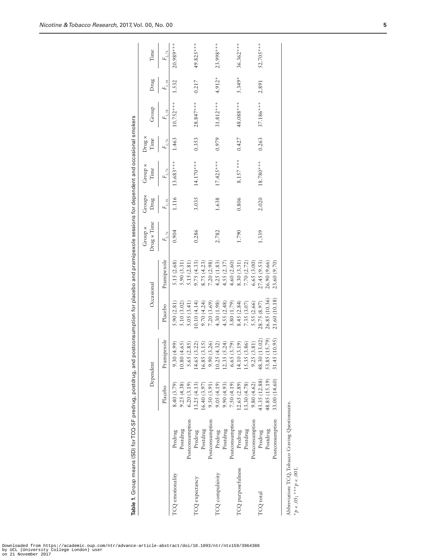|                            |                                                   |               |               | Occasional    |              | Group ×     | Groupx     | Group ×<br>Time   | Drug ×     |             |            |             |
|----------------------------|---------------------------------------------------|---------------|---------------|---------------|--------------|-------------|------------|-------------------|------------|-------------|------------|-------------|
|                            |                                                   | Dependent     |               |               |              | Drug x Time | Drug       |                   | Time       | Group       | Drug       | Time        |
|                            |                                                   | Placebo       | Pramipexole   | Placebo       | Pramipexole  | $F_{2.76}$  | $F_{1,38}$ | $F_{_{\rm 2.76}}$ | $F_{2,76}$ | $F_{1.38}$  | $F_{1.38}$ | $F_{2.76}$  |
| TCQ emotionality           | Predrug                                           | 8.40 (3.79)   | .30(4.99)     | 5.90(2.81)    | 5.15 (2.68)  | 0.904       | 1.116      | $13.683***$       | 1.463      | $10.752***$ | 1.532      | $20.989***$ |
|                            | Postdrug                                          | 9.25(4.38)    | .80(4.65)     | 5.10 (3.02)   | 5.90(3.31)   |             |            |                   |            |             |            |             |
|                            | Postconsumption                                   | 6.20(3.19)    | 5.65(2.85)    | 5.05(3.41)    | 5.15 (2.81)  |             |            |                   |            |             |            |             |
| TCQ expectancy             | Predrug                                           | 13.25(4.13)   | 4.65(3.22)    | 0.10(4.14)    | 9.75(4.33)   | 0.286       | 3.035      | $14.170***$       | 0.353      | $28.847***$ | 0.217      | 49.825***   |
|                            | Postdrug                                          | 16.40(3.97)   | 6.85(3.15)    | 9.70(4.24)    | 8.75 (4.23)  |             |            |                   |            |             |            |             |
|                            | Postconsumption                                   | 9.50 (3.91)   | .90(3.26)     | 7.20(3.69)    | 7.20 (2.98)  |             |            |                   |            |             |            |             |
| TCQ compulsivity           | Predrug                                           | 9.05(4.19)    | (0.25(4.32))  | 4.30 (1.98)   | 4.25 (1.83)  | 2.782       | 1.638      | $17.425***$       | 0.979      | $31.812***$ | $4.912*$   | 23.998***   |
|                            | Postdrug                                          | 9.90(4.93)    | (2.35(5.24)   | 4.55(2.48)    | 4.55(2.37)   |             |            |                   |            |             |            |             |
|                            | Postconsumption                                   | 7.50(4.19)    | .65(3.79)     | 3.80(1.79)    | 4.60(2.60)   |             |            |                   |            |             |            |             |
| TCQ purposefulness         | Predrug                                           | 12.65(2.89)   | 14.10(3.19)   | 8.45(2.84)    | 8.30 (3.31)  | 1.790       | 0.806      | $8.157$ ***       | 0.427      | 48.088***   | 5.349*     | $36.362***$ |
|                            | Postdrug                                          | 13.30(4.78)   | 15.35(3.86)   | 7.35(3.07)    | 7.70 (2.72)  |             |            |                   |            |             |            |             |
|                            | Postconsumption                                   | 9.80(4.62)    | .25(3.81)     | 5.55 (2.66)   | 6.65 (3.00)  |             |            |                   |            |             |            |             |
| TCQ total                  | Predrug                                           | 43.35 (12.88) | 48.30 (13.02) | 28.75 (8.97)  | 27.45(9.53)  | 1.339       | 2.020      | $18.780***$       | 0.263      | $37.186***$ | 2.891      | $52.705***$ |
|                            | Postdrug                                          | 48.85 (15.19) | 53.85 (15.79) | 26.85(10.36)  | 26.90 (9.66) |             |            |                   |            |             |            |             |
|                            | Postconsumption                                   | 33.00 (14.60) | 31.45 (10.95) | 21.60 (10.18) | 23.60 (9.70) |             |            |                   |            |             |            |             |
| $* p < .05; *** p < .001.$ | Abbreviation: TCQ, Tobacco Craving Questionnaire. |               |               |               |              |             |            |                   |            |             |            |             |

<span id="page-4-0"></span>**Table 1.** Group means (SD) for TCQ-SF predrug, postdrug, and postconsumption for placebo and pramipexole sessions for dependent and occasional smokers

Table 1. Group means (SD) for TCQ-SF predrug, postdrug, and postconsumption for placebo and pramipexole sessions for dependent and occasional smokers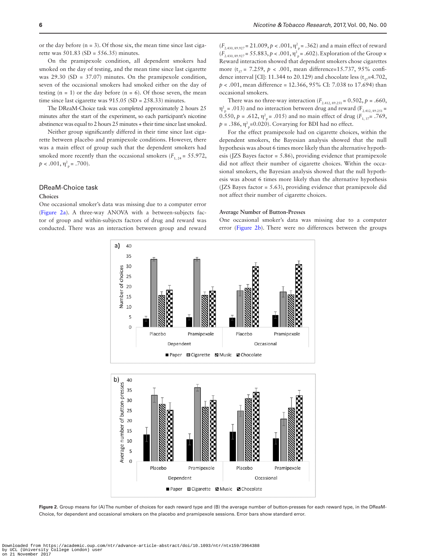or the day before  $(n = 3)$ . Of those six, the mean time since last cigarette was  $501.83$  (SD =  $556.35$ ) minutes.

On the pramipexole condition, all dependent smokers had smoked on the day of testing, and the mean time since last cigarette was 29.30 (SD = 37.07) minutes. On the pramipexole condition, seven of the occasional smokers had smoked either on the day of testing  $(n = 1)$  or the day before  $(n = 6)$ . Of those seven, the mean time since last cigarette was 915.05 (SD = 258.33) minutes.

The DReaM-Choice task was completed approximately 2 hours 25 minutes after the start of the experiment, so each participant's nicotine abstinence was equal to 2 hours 25 minutes + their time since last smoked.

Neither group significantly differed in their time since last cigarette between placebo and pramipexole conditions. However, there was a main effect of group such that the dependent smokers had smoked more recently than the occasional smokers  $(F_{1, 24} = 55.972,$  $p < .001, \eta_{\text{p}}^2 = .700$ ).

## DReaM-Choice task

#### **Choices**

One occasional smoker's data was missing due to a computer error [\(Figure 2a](#page-5-0)). A three-way ANOVA with a between-subjects factor of group and within-subjects factors of drug and reward was conducted. There was an interaction between group and reward

 $(F_{2.430, 89.927} = 21.009, p < .001, \eta^2_p = .362)$  and a main effect of reward  $(F_{2.430, 89.927} = 55.883, p < .001, \eta_{p}^{2} = .602$ . Exploration of the Group  $\times$ Reward interaction showed that dependent smokers chose cigarettes more  $(t_{0.7} = 7.259, p < .001$ , mean difference=15.737, 95% confidence interval [CI]: 11.344 to 20.129) and chocolate less  $(t_{37}=4.702,$ *p* < .001, mean difference = 12.366, 95% CI: 7.038 to 17.694) than occasional smokers.

There was no three-way interaction ( $F_{2.412, 89.251}$  = 0.502,  $p = .660$ ,  $\eta_{\text{p}}^2$  = .013) and no interaction between drug and reward (F<sub>2.412, 89.251</sub> = 0.550,  $p = .612$ ,  $\eta^2$ <sub>p</sub> = .015) and no main effect of drug ( $F_{1, 37}$  = .769,  $p = .386$ ,  $\eta_{\text{p}}^2$ =0.020). Covarying for BDI had no effect.

For the effect pramipexole had on cigarette choices, within the dependent smokers, the Bayesian analysis showed that the null hypothesis was about 6 times more likely than the alternative hypothesis (JZS Bayes factor = 5.86), providing evidence that pramipexole did not affect their number of cigarette choices. Within the occasional smokers, the Bayesian analysis showed that the null hypothesis was about 6 times more likely than the alternative hypothesis (JZS Bayes factor = 5.63), providing evidence that pramipexole did not affect their number of cigarette choices.

#### **Average Number of Button-Presses**

One occasional smoker's data was missing due to a computer error [\(Figure 2b\)](#page-5-0). There were no differences between the groups



<span id="page-5-0"></span>**Figure 2.** Group means for (A) The number of choices for each reward type and (B) the average number of button-presses for each reward type, in the DReaM-Choice, for dependent and occasional smokers on the placebo and pramipexole sessions. Error bars show standard error.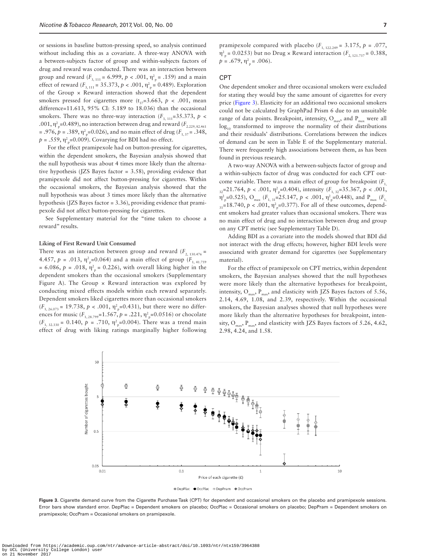or sessions in baseline button-pressing speed, so analysis continued without including this as a covariate. A three-way ANOVA with a between-subjects factor of group and within-subjects factors of drug and reward was conducted. There was an interaction between group and reward ( $F_{3, 111} = 6.999$ ,  $p < .001$ ,  $\eta_{p}^{2} = .159$ ) and a main effect of reward ( $F_{3, 111} = 35.373, p < .001, \eta_{p}^{2} = 0.489$ ). Exploration of the Group × Reward interaction showed that the dependent smokers pressed for cigarettes more  $(t_{37}=3.663, p \lt 0.01, \text{ mean})$ difference=11.613, 95% CI: 5.189 to 18.036) than the occasional smokers. There was no three-way interaction  $(F_{3, 111}=35.373, p <$ .001,  $\eta_{\text{p}}^2$ =0.489), no interaction between drug and reward ( $F_{2.229, 82.461}$ = .976,  $p = .389$ ,  $\eta_p^2 = 0.026$ ), and no main effect of drug ( $F_{1, 37} = .348$ ,  $p = .559$ ,  $\eta_{\text{p}}^2$ =0.009). Covarying for BDI had no effect.

For the effect pramipexole had on button-pressing for cigarettes, within the dependent smokers, the Bayesian analysis showed that the null hypothesis was about 4 times more likely than the alternative hypothesis (JZS Bayes factor = 3.58), providing evidence that pramipexole did not affect button-pressing for cigarettes. Within the occasional smokers, the Bayesian analysis showed that the null hypothesis was about 3 times more likely than the alternative hypothesis (JZS Bayes factor = 3.36), providing evidence that pramipexole did not affect button-pressing for cigarettes.

See Supplementary material for the "time taken to choose a reward" results.

#### **Liking of First Reward Unit Consumed**

There was an interaction between group and reward  $(F_{2, 130.476} =$ 4.457,  $p = .013$ ,  $\eta^2_{\text{p}} = 0.064$ ) and a main effect of group ( $F_{1, 41.759}$ )  $= 6.086, p = .018, \eta_{\text{p}}^2 = 0.226$ , with overall liking higher in the dependent smokers than the occasional smokers (Supplementary Figure A). The Group  $\times$  Reward interaction was explored by conducting mixed effects models within each reward separately. Dependent smokers liked cigarettes more than occasional smokers  $(F_{1, 26.073} = 19.738, p < .001, \eta_{p}^{2} = 0.431)$ , but there were no differences for music ( $F_{1, 28.799}$ =1.567,  $p = .221$ ,  $\eta_{p}^{2}$ =0.0516) or chocolate  $(F_{1, 32.330} = 0.140, p = .710, \eta_{\text{p}}^2 = 0.004)$ . There was a trend main effect of drug with liking ratings marginally higher following

pramipexole compared with placebo  $(F_{1, 122, 249} = 3.175, p = .077,$  $η<sup>2</sup><sub>p</sub> = 0.0253$ ) but no Drug × Reward interaction ( $F<sub>2, 121.737</sub> = 0.388$ ,  $p = .679, \eta_{\text{p}}^2 = .006$ ).

## CPT

One dependent smoker and three occasional smokers were excluded for stating they would buy the same amount of cigarettes for every price [\(Figure 3\)](#page-6-0). Elasticity for an additional two occasional smokers could not be calculated by GraphPad Prism 6 due to an unsuitable range of data points. Breakpoint, intensity,  $O_{\text{max}}$ , and  $P_{\text{max}}$  were all  $log<sub>10</sub>$  transformed to improve the normality of their distributions and their residuals' distributions. Correlations between the indices of demand can be seen in Table E of the Supplementary material. There were frequently high associations between them, as has been found in previous research.

A two-way ANOVA with a between-subjects factor of group and a within-subjects factor of drug was conducted for each CPT outcome variable. There was a main effect of group for breakpoint (*F*<sub>1</sub>,  $\frac{1}{32}$ =21.764, *p* < .001,  $\eta^2$ <sub>p</sub>=0.404), intensity (*F*<sub>1, 32</sub>=35.367, *p* < .001,  $η<sup>2</sup><sub>p</sub> = 0.525$ ), O<sub>max</sub> (*F*<sub>1, 31</sub>=25.147, *p* < .001,  $η<sup>2</sup><sub>p</sub> = 0.448$ ), and P<sub>max</sub> (*F*<sub>1,</sub> <sub>31</sub>=18.740, *p* < .001,  $η<sup>2</sup><sub>p</sub>$ =0.377). For all of these outcomes, dependent smokers had greater values than occasional smokers. There was no main effect of drug and no interaction between drug and group on any CPT metric (see Supplementary Table D).

Adding BDI as a covariate into the models showed that BDI did not interact with the drug effects; however, higher BDI levels were associated with greater demand for cigarettes (see Supplementary material).

For the effect of pramipexole on CPT metrics, within dependent smokers, the Bayesian analyses showed that the null hypotheses were more likely than the alternative hypotheses for breakpoint, intensity,  $O_{max}$ ,  $P_{max}$ , and elasticity with JZS Bayes factors of 5.56, 2.14, 4.69, 1.08, and 2.39, respectively. Within the occasional smokers, the Bayesian analyses showed that null hypotheses were more likely than the alternative hypotheses for breakpoint, intensity,  $O_{\text{max}}$ ,  $P_{\text{max}}$ , and elasticity with JZS Bayes factors of 5.26, 4.62, 2.98, 4.24, and 1.58.



<span id="page-6-0"></span>**Figure 3.** Cigarette demand curve from the Cigarette Purchase Task (CPT) for dependent and occasional smokers on the placebo and pramipexole sessions. Error bars show standard error. DepPlac = Dependent smokers on placebo; OccPlac = Occasional smokers on placebo; DepPram = Dependent smokers on pramipexole; OccPram = Occasional smokers on pramipexole.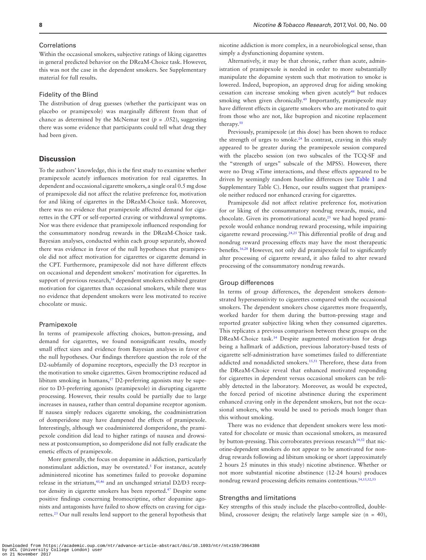## Correlations

Within the occasional smokers, subjective ratings of liking cigarettes in general predicted behavior on the DReaM-Choice task. However, this was not the case in the dependent smokers. See Supplementary material for full results.

#### Fidelity of the Blind

The distribution of drug guesses (whether the participant was on placebo or pramipexole) was marginally different from that of chance as determined by the McNemar test ( $p = .052$ ), suggesting there was some evidence that participants could tell what drug they had been given.

## **Discussion**

To the authors' knowledge, this is the first study to examine whether pramipexole acutely influences motivation for real cigarettes. In dependent and occasional cigarette smokers, a single oral 0.5 mg dose of pramipexole did not affect the relative preference for, motivation for and liking of cigarettes in the DReaM-Choice task. Moreover, there was no evidence that pramipexole affected demand for cigarettes in the CPT or self-reported craving or withdrawal symptoms. Nor was there evidence that pramipexole influenced responding for the consummatory nondrug rewards in the DReaM-Choice task. Bayesian analyses, conducted within each group separately, showed there was evidence in favor of the null hypotheses that pramipexole did not affect motivation for cigarettes or cigarette demand in the CPT. Furthermore, pramipexole did not have different effects on occasional and dependent smokers' motivation for cigarettes. In support of previous research,<sup>[14](#page-8-9)</sup> dependent smokers exhibited greater motivation for cigarettes than occasional smokers, while there was no evidence that dependent smokers were less motivated to receive chocolate or music.

#### Pramipexole

In terms of pramipexole affecting choices, button-pressing, and demand for cigarettes, we found nonsignificant results, mostly small effect sizes and evidence from Bayesian analyses in favor of the null hypotheses. Our findings therefore question the role of the D2-subfamily of dopamine receptors, especially the D3 receptor in the motivation to smoke cigarettes. Given bromocriptine reduced ad libitum smoking in humans, $17$  D2-preferring agonists may be superior to D3-preferring agonists (pramipexole) in disrupting cigarette processing. However, their results could be partially due to large increases in nausea, rather than central dopamine receptor agonism. If nausea simply reduces cigarette smoking, the coadministration of domperidone may have dampened the effects of pramipexole. Interestingly, although we coadministered domperidone, the pramipexole condition did lead to higher ratings of nausea and drowsiness at postconsumption, so domperidone did not fully eradicate the emetic effects of pramipexole.

More generally, the focus on dopamine in addiction, particularly nonstimulant addiction, may be overstated.<sup>5</sup> For instance, acutely administered nicotine has sometimes failed to provoke dopamine release in the striatum,<sup>45,46</sup> and an unchanged striatal D2/D3 recep-tor density in cigarette smokers has been reported.<sup>[47](#page-9-18)</sup> Despite some positive findings concerning bromocriptine, other dopamine agonists and antagonists have failed to show effects on craving for cigarettes.[23](#page-8-14) Our null results lend support to the general hypothesis that

nicotine addiction is more complex, in a neurobiological sense, than simply a dysfunctioning dopamine system.

Alternatively, it may be that chronic, rather than acute, administration of pramipexole is needed in order to more substantially manipulate the dopamine system such that motivation to smoke is lowered. Indeed, bupropion, an approved drug for aiding smoking cessation can increase smoking when given acutely[48](#page-9-19) but reduces smoking when given chronically.<sup>[49](#page-9-20)</sup> Importantly, pramipexole may have different effects in cigarette smokers who are motivated to quit from those who are not, like bupropion and nicotine replacement therapy.<sup>50</sup>

Previously, pramipexole (at this dose) has been shown to reduce the strength of urges to smoke.<sup>24</sup> In contrast, craving in this study appeared to be greater during the pramipexole session compared with the placebo session (on two subscales of the TCQ-SF and the "strength of urges" subscale of the MPSS). However, there were no Drug ×Time interactions, and these effects appeared to be driven by seemingly random baseline differences (see [Table 1](#page-4-0) and Supplementary Table C). Hence, our results suggest that pramipexole neither reduced nor enhanced craving for cigarettes.

Pramipexole did not affect relative preference for, motivation for or liking of the consummatory nondrug rewards, music, and chocolate. Given its promotivational acute, $2<sup>5</sup>$  we had hoped pramipexole would enhance nondrug reward processing, while impairing cigarette reward processing.[24,](#page-8-15)[25](#page-8-16) This differential profile of drug and nondrug reward processing effects may have the most therapeutic benefits[.16](#page-8-19),[28](#page-8-20) However, not only did pramipexole fail to significantly alter processing of cigarette reward, it also failed to alter reward processing of the consummatory nondrug rewards.

#### Group differences

In terms of group differences, the dependent smokers demonstrated hypersensitivity to cigarettes compared with the occasional smokers. The dependent smokers chose cigarettes more frequently, worked harder for them during the button-pressing stage and reported greater subjective liking when they consumed cigarettes. This replicates a previous comparison between these groups on the DReaM-Choice task[.14](#page-8-9) Despite augmented motivation for drugs being a hallmark of addiction, previous laboratory-based tests of cigarette self-administration have sometimes failed to differentiate addicted and nonaddicted smokers.<sup>[15](#page-8-21),51</sup> Therefore, these data from the DReaM-Choice reveal that enhanced motivated responding for cigarettes in dependent versus occasional smokers can be reliably detected in the laboratory. Moreover, as would be expected, the forced period of nicotine abstinence during the experiment enhanced craving only in the dependent smokers, but not the occasional smokers, who would be used to periods much longer than this without smoking.

There was no evidence that dependent smokers were less motivated for chocolate or music than occasional smokers, as measured by button-pressing. This corroborates previous research<sup>14,52</sup> that nicotine-dependent smokers do not appear to be amotivated for nondrug rewards following ad libitum smoking or short (approximately 2 hours 25 minutes in this study) nicotine abstinence. Whether or not more substantial nicotine abstinence (12-24 hours) produces nondrug reward processing deficits remains contentious.[14](#page-8-9)[,15,](#page-8-21)[52](#page-9-23)[,53](#page-9-24)

## Strengths and limitations

Key strengths of this study include the placebo-controlled, doubleblind, crossover design; the relatively large sample size  $(n = 40)$ ,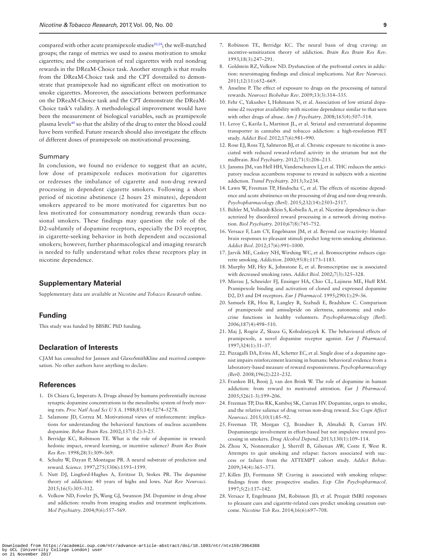compared with other acute pramipexole studies<sup>[20](#page-8-13),24</sup>; the well-matched groups; the range of metrics we used to assess motivation to smoke cigarettes; and the comparison of real cigarettes with real nondrug rewards in the DReaM-Choice task. Another strength is that results from the DReaM-Choice task and the CPT dovetailed to demonstrate that pramipexole had no significant effect on motivation to smoke cigarettes. Moreover, the associations between performance on the DReaM-Choice task and the CPT demonstrate the DReaM-Choice task's validity. A methodological improvement would have been the measurement of biological variables, such as pramipexole plasma levels<sup>40</sup> so that the ability of the drug to enter the blood could have been verified. Future research should also investigate the effects of different doses of pramipexole on motivational processing.

#### Summary

In conclusion, we found no evidence to suggest that an acute, low dose of pramipexole reduces motivation for cigarettes or redresses the imbalance of cigarette and non-drug reward processing in dependent cigarette smokers. Following a short period of nicotine abstinence (2 hours 25 minutes), dependent smokers appeared to be more motivated for cigarettes but no less motivated for consummatory nondrug rewards than occasional smokers. These findings may question the role of the D2-subfamily of dopamine receptors, especially the D3 receptor, in cigarette-seeking behavior in both dependent and occasional smokers; however, further pharmacological and imaging research is needed to fully understand what roles these receptors play in nicotine dependence.

## **Supplementary Material**

Supplementary data are available at *Nicotine and Tobacco Research* online.

## **Funding**

This study was funded by BBSRC PhD funding.

## **Declaration of Interests**

CJAM has consulted for Janssen and GlaxoSmithKline and received compensation. No other authors have anything to declare.

## **References**

- <span id="page-8-0"></span>1. Di Chiara G, Imperato A. Drugs abused by humans preferentially increase synaptic dopamine concentrations in the mesolimbic system of freely moving rats. *Proc Natl Acad Sci U S A*. 1988;85(14):5274–5278.
- <span id="page-8-1"></span>2. Salamone JD, Correa M. Motivational views of reinforcement: implications for understanding the behavioral functions of nucleus accumbens dopamine. *Behav Brain Res*. 2002;137(1-2):3–25.
- 3. Berridge KC, Robinson TE. What is the role of dopamine in reward: hedonic impact, reward learning, or incentive salience? *Brain Res Brain Res Rev*. 1998;28(3):309–369.
- 4. Schultz W, Dayan P, Montague PR. A neural substrate of prediction and reward. *Science*. 1997;275(5306):1593–1599.
- <span id="page-8-2"></span>5. Nutt DJ, Lingford-Hughes A, Erritzoe D, Stokes PR. The dopamine theory of addiction: 40 years of highs and lows. *Nat Rev Neurosci*. 2015;16(5):305–312.
- 6. Volkow ND, Fowler JS, Wang GJ, Swanson JM. Dopamine in drug abuse and addiction: results from imaging studies and treatment implications. *Mol Psychiatry*. 2004;9(6):557–569.
- 7. Robinson TE, Berridge KC. The neural basis of drug craving: an incentive-sensitization theory of addiction. *Brain Res Brain Res Rev*. 1993;18(3):247–291.
- <span id="page-8-3"></span>8. Goldstein RZ, Volkow ND. Dysfunction of the prefrontal cortex in addiction: neuroimaging findings and clinical implications. *Nat Rev Neurosci*. 2011;12(11):652–669.
- <span id="page-8-4"></span>9. Anselme P. The effect of exposure to drugs on the processing of natural rewards. *Neurosci Biobehav Rev*. 2009;33(3):314–335.
- <span id="page-8-5"></span>10. Fehr C, Yakushev I, Hohmann N, et al. Association of low striatal dopamine d2 receptor availability with nicotine dependence similar to that seen with other drugs of abuse. *Am J Psychiatry*. 2008;165(4):507–514.
- <span id="page-8-6"></span>11. Leroy C, Karila L, Martinot JL, et al. Striatal and extrastriatal dopamine transporter in cannabis and tobacco addiction: a high-resolution PET study. *Addict Biol*. 2012;17(6):981–990.
- <span id="page-8-7"></span>12. Rose EJ, Ross TJ, Salmeron BJ, et al. Chronic exposure to nicotine is associated with reduced reward-related activity in the striatum but not the midbrain. *Biol Psychiatry*. 2012;71(3):206–213.
- <span id="page-8-8"></span>13. Jansma JM, van Hell HH, Vanderschuren LJ, et al. THC reduces the anticipatory nucleus accumbens response to reward in subjects with a nicotine addiction. *Transl Psychiatry*. 2013;3:e234.
- <span id="page-8-9"></span>14. Lawn W, Freeman TP, Hindocha C, et al. The effects of nicotine dependence and acute abstinence on the processing of drug and non-drug rewards. *Psychopharmacology (Berl)*. 2015;232(14):2503–2517.
- <span id="page-8-21"></span>15. Bühler M, Vollstädt-Klein S, Kobiella A, et al. Nicotine dependence is characterized by disordered reward processing in a network driving motivation. *Biol Psychiatry*. 2010;67(8):745–752.
- <span id="page-8-19"></span>16. Versace F, Lam CY, Engelmann JM, et al. Beyond cue reactivity: blunted brain responses to pleasant stimuli predict long-term smoking abstinence. *Addict Biol*. 2012;17(6):991–1000.
- <span id="page-8-10"></span>17. Jarvik ME, Caskey NH, Wirshing WC, et al. Bromocriptine reduces cigarette smoking. *Addiction*. 2000;95(8):1173–1183.
- <span id="page-8-11"></span>18. Murphy MF, Hey K, Johnstone E, et al. Bromocriptine use is associated with decreased smoking rates. *Addict Biol*. 2002;7(3):325–328.
- <span id="page-8-12"></span>19. Mierau J, Schneider FJ, Ensinger HA, Chio CL, Lajiness ME, Huff RM. Pramipexole binding and activation of cloned and expressed dopamine D2, D3 and D4 receptors. *Eur J Pharmacol*. 1995;290(1):29–36.
- <span id="page-8-13"></span>20. Samuels ER, Hou R, Langley R, Szabadi E, Bradshaw C. Comparison of pramipexole and amisulpride on alertness, autonomic and endocrine functions in healthy volunteers. *Psychopharmacology (Berl)*. 2006;187(4):498–510.
- 21. Maj J, Rogóz Z, Skuza G, Kołodziejczyk K. The behavioural effects of pramipexole, a novel dopamine receptor agonist. *Eur J Pharmacol*. 1997;324(1):31–37.
- 22. Pizzagalli DA, Evins AE, Schetter EC, et al. Single dose of a dopamine agonist impairs reinforcement learning in humans: behavioral evidence from a laboratory-based measure of reward responsiveness. *Psychopharmacology (Berl)*. 2008;196(2):221–232.
- <span id="page-8-14"></span>23. Franken IH, Booij J, van den Brink W. The role of dopamine in human addiction: from reward to motivated attention. *Eur J Pharmacol*. 2005;526(1-3):199–206.
- <span id="page-8-15"></span>24. Freeman TP, Das RK, Kamboj SK, Curran HV. Dopamine, urges to smoke, and the relative salience of drug versus non-drug reward. *Soc Cogn Affect Neurosci*. 2015;10(1):85–92.
- <span id="page-8-16"></span>25. Freeman TP, Morgan CJ, Brandner B, Almahdi B, Curran HV. Dopaminergic involvement in effort-based but not impulsive reward processing in smokers. *Drug Alcohol Depend*. 2013;130(1):109–114.
- <span id="page-8-17"></span>26. Zhou X, Nonnemaker J, Sherrill B, Gilsenan AW, Coste F, West R. Attempts to quit smoking and relapse: factors associated with success or failure from the ATTEMPT cohort study. *Addict Behav*. 2009;34(4):365–373.
- <span id="page-8-18"></span>27. Killen JD, Fortmann SP. Craving is associated with smoking relapse: findings from three prospective studies. *Exp Clin Psychopharmacol*. 1997;5(2):137–142.
- <span id="page-8-20"></span>28. Versace F, Engelmann JM, Robinson JD, et al. Prequit fMRI responses to pleasant cues and cigarette-related cues predict smoking cessation outcome. *Nicotine Tob Res*. 2014;16(6):697–708.